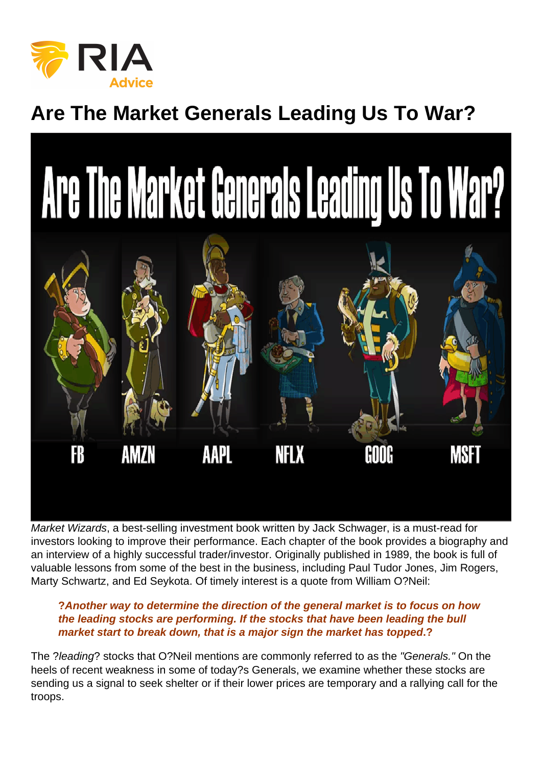## Are The Market Generals Leading Us To War?

Market Wizards, a best-selling investment book written by Jack Schwager, is a must-read for investors looking to improve their performance. Each chapter of the book provides a biography and an interview of a highly successful trader/investor. Originally published in 1989, the book is full of valuable lessons from some of the best in the business, including Paul Tudor Jones, Jim Rogers, Marty Schwartz, and Ed Seykota. Of timely interest is a quote from William O?Neil:

?Another way to determine the direction of the general market is to focus on how the leading stocks are performing. If the stocks that have been leading the bull market start to break down, that is a major sign the market has topped ...?

The ?leading? stocks that O?Neil mentions are commonly referred to as the "Generals." On the heels of recent weakness in some of today?s Generals, we examine whether these stocks are sending us a signal to seek shelter or if their lower prices are temporary and a rallying call for the troops.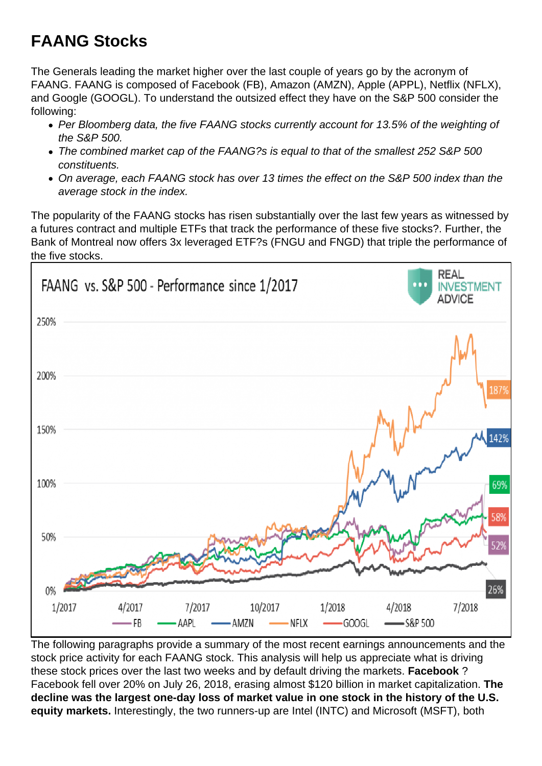## FAANG Stocks

The Generals leading the market higher over the last couple of years go by the acronym of FAANG. FAANG is composed of Facebook (FB), Amazon (AMZN), Apple (APPL), Netflix (NFLX), and Google (GOOGL). To understand the outsized effect they have on the S&P 500 consider the following:

- Per Bloomberg data, the five FAANG stocks currently account for 13.5% of the weighting of the S&P 500.
- The combined market cap of the FAANG?s is equal to that of the smallest 252 S&P 500 constituents.
- On average, each FAANG stock has over 13 times the effect on the S&P 500 index than the average stock in the index.

The popularity of the FAANG stocks has risen substantially over the last few years as witnessed by a futures contract and multiple ETFs that track the performance of these five stocks?. Further, the Bank of Montreal now offers 3x leveraged ETF?s (FNGU and FNGD) that triple the performance of the five stocks.

The following paragraphs provide a summary of the most recent earnings announcements and the stock price activity for each FAANG stock. This analysis will help us appreciate what is driving these stock prices over the last two weeks and by default driving the markets. Facebook ? Facebook fell over 20% on July 26, 2018, erasing almost \$120 billion in market capitalization. The decline was the largest one-day loss of market value in one stock in the history of the U.S. equity markets. Interestingly, the two runners-up are Intel (INTC) and Microsoft (MSFT), both